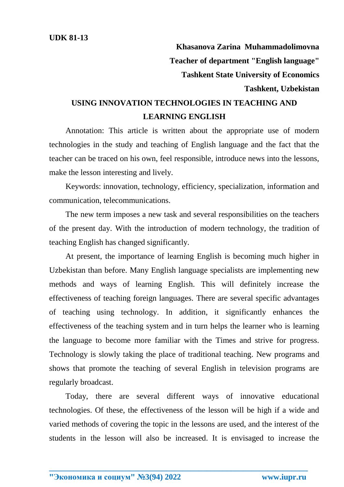**Khasanova Zarina Muhammadolimovna Teacher of department "English language" Tashkent State University of Economics Tashkent, Uzbekistan**

## **USING INNOVATION TECHNOLOGIES IN TEACHING AND LEARNING ENGLISH**

Annotation: This article is written about the appropriate use of modern technologies in the study and teaching of English language and the fact that the teacher can be traced on his own, feel responsible, introduce news into the lessons, make the lesson interesting and lively.

Keywords: innovation, technology, efficiency, specialization, information and communication, telecommunications.

The new term imposes a new task and several responsibilities on the teachers of the present day. With the introduction of modern technology, the tradition of teaching English has changed significantly.

At present, the importance of learning English is becoming much higher in Uzbekistan than before. Many English language specialists are implementing new methods and ways of learning English. This will definitely increase the effectiveness of teaching foreign languages. There are several specific advantages of teaching using technology. In addition, it significantly enhances the effectiveness of the teaching system and in turn helps the learner who is learning the language to become more familiar with the Times and strive for progress. Technology is slowly taking the place of traditional teaching. New programs and shows that promote the teaching of several English in television programs are regularly broadcast.

Today, there are several different ways of innovative educational technologies. Of these, the effectiveness of the lesson will be high if a wide and varied methods of covering the topic in the lessons are used, and the interest of the students in the lesson will also be increased. It is envisaged to increase the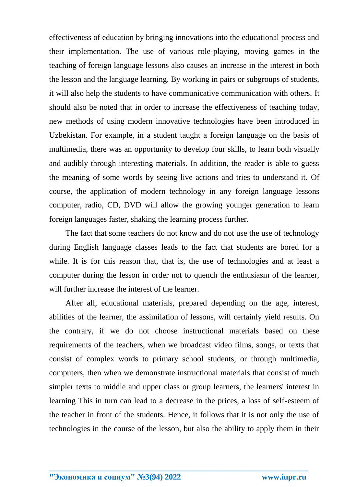effectiveness of education by bringing innovations into the educational process and their implementation. The use of various role-playing, moving games in the teaching of foreign language lessons also causes an increase in the interest in both the lesson and the language learning. By working in pairs or subgroups of students, it will also help the students to have communicative communication with others. It should also be noted that in order to increase the effectiveness of teaching today, new methods of using modern innovative technologies have been introduced in Uzbekistan. For example, in a student taught a foreign language on the basis of multimedia, there was an opportunity to develop four skills, to learn both visually and audibly through interesting materials. In addition, the reader is able to guess the meaning of some words by seeing live actions and tries to understand it. Of course, the application of modern technology in any foreign language lessons computer, radio, CD, DVD will allow the growing younger generation to learn foreign languages faster, shaking the learning process further.

The fact that some teachers do not know and do not use the use of technology during English language classes leads to the fact that students are bored for a while. It is for this reason that, that is, the use of technologies and at least a computer during the lesson in order not to quench the enthusiasm of the learner, will further increase the interest of the learner.

After all, educational materials, prepared depending on the age, interest, abilities of the learner, the assimilation of lessons, will certainly yield results. On the contrary, if we do not choose instructional materials based on these requirements of the teachers, when we broadcast video films, songs, or texts that consist of complex words to primary school students, or through multimedia, computers, then when we demonstrate instructional materials that consist of much simpler texts to middle and upper class or group learners, the learners' interest in learning This in turn can lead to a decrease in the prices, a loss of self-esteem of the teacher in front of the students. Hence, it follows that it is not only the use of technologies in the course of the lesson, but also the ability to apply them in their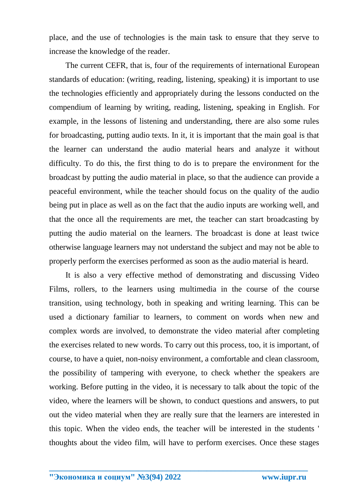place, and the use of technologies is the main task to ensure that they serve to increase the knowledge of the reader.

The current CEFR, that is, four of the requirements of international European standards of education: (writing, reading, listening, speaking) it is important to use the technologies efficiently and appropriately during the lessons conducted on the compendium of learning by writing, reading, listening, speaking in English. For example, in the lessons of listening and understanding, there are also some rules for broadcasting, putting audio texts. In it, it is important that the main goal is that the learner can understand the audio material hears and analyze it without difficulty. To do this, the first thing to do is to prepare the environment for the broadcast by putting the audio material in place, so that the audience can provide a peaceful environment, while the teacher should focus on the quality of the audio being put in place as well as on the fact that the audio inputs are working well, and that the once all the requirements are met, the teacher can start broadcasting by putting the audio material on the learners. The broadcast is done at least twice otherwise language learners may not understand the subject and may not be able to properly perform the exercises performed as soon as the audio material is heard.

It is also a very effective method of demonstrating and discussing Video Films, rollers, to the learners using multimedia in the course of the course transition, using technology, both in speaking and writing learning. This can be used a dictionary familiar to learners, to comment on words when new and complex words are involved, to demonstrate the video material after completing the exercises related to new words. To carry out this process, too, it is important, of course, to have a quiet, non-noisy environment, a comfortable and clean classroom, the possibility of tampering with everyone, to check whether the speakers are working. Before putting in the video, it is necessary to talk about the topic of the video, where the learners will be shown, to conduct questions and answers, to put out the video material when they are really sure that the learners are interested in this topic. When the video ends, the teacher will be interested in the students ' thoughts about the video film, will have to perform exercises. Once these stages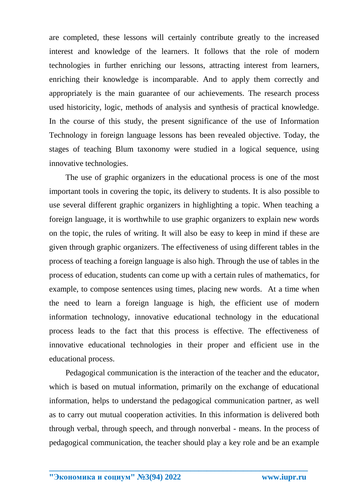are completed, these lessons will certainly contribute greatly to the increased interest and knowledge of the learners. It follows that the role of modern technologies in further enriching our lessons, attracting interest from learners, enriching their knowledge is incomparable. And to apply them correctly and appropriately is the main guarantee of our achievements. The research process used historicity, logic, methods of analysis and synthesis of practical knowledge. In the course of this study, the present significance of the use of Information Technology in foreign language lessons has been revealed objective. Today, the stages of teaching Blum taxonomy were studied in a logical sequence, using innovative technologies.

The use of graphic organizers in the educational process is one of the most important tools in covering the topic, its delivery to students. It is also possible to use several different graphic organizers in highlighting a topic. When teaching a foreign language, it is worthwhile to use graphic organizers to explain new words on the topic, the rules of writing. It will also be easy to keep in mind if these are given through graphic organizers. The effectiveness of using different tables in the process of teaching a foreign language is also high. Through the use of tables in the process of education, students can come up with a certain rules of mathematics, for example, to compose sentences using times, placing new words. At a time when the need to learn a foreign language is high, the efficient use of modern information technology, innovative educational technology in the educational process leads to the fact that this process is effective. The effectiveness of innovative educational technologies in their proper and efficient use in the educational process.

Pedagogical communication is the interaction of the teacher and the educator, which is based on mutual information, primarily on the exchange of educational information, helps to understand the pedagogical communication partner, as well as to carry out mutual cooperation activities. In this information is delivered both through verbal, through speech, and through nonverbal - means. In the process of pedagogical communication, the teacher should play a key role and be an example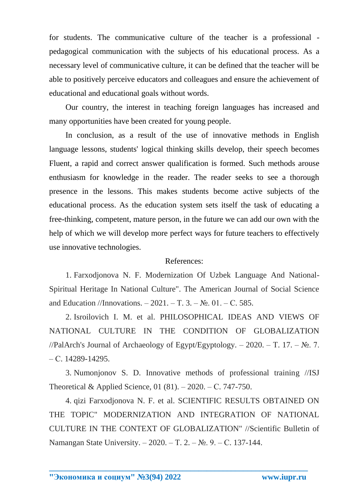for students. The communicative culture of the teacher is a professional pedagogical communication with the subjects of his educational process. As a necessary level of communicative culture, it can be defined that the teacher will be able to positively perceive educators and colleagues and ensure the achievement of educational and educational goals without words.

Our country, the interest in teaching foreign languages has increased and many opportunities have been created for young people.

In conclusion, as a result of the use of innovative methods in English language lessons, students' logical thinking skills develop, their speech becomes Fluent, a rapid and correct answer qualification is formed. Such methods arouse enthusiasm for knowledge in the reader. The reader seeks to see a thorough presence in the lessons. This makes students become active subjects of the educational process. As the education system sets itself the task of educating a free-thinking, competent, mature person, in the future we can add our own with the help of which we will develop more perfect ways for future teachers to effectively use innovative technologies.

## References:

1. Farxodjonova N. F. Modernization Of Uzbek Language And National-Spiritual Heritage In National Culture". The American Journal of Social Science and Education //Innovations. – 2021. – T. 3. – №. 01. – C. 585.

2. Isroilovich I. M. et al. PHILOSOPHICAL IDEAS AND VIEWS OF NATIONAL CULTURE IN THE CONDITION OF GLOBALIZATION //PalArch's Journal of Archaeology of Egypt/Egyptology. – 2020. – T. 17. –  $\mathbb{N}_2$ . 7. – С. 14289-14295.

3. Numonjonov S. D. Innovative methods of professional training //ISJ Theoretical & Applied Science, 01 (81). – 2020. – С. 747-750.

4. qizi Farxodjonova N. F. et al. SCIENTIFIC RESULTS OBTAINED ON THE TOPIC" MODERNIZATION AND INTEGRATION OF NATIONAL CULTURE IN THE CONTEXT OF GLOBALIZATION" //Scientific Bulletin of Namangan State University. – 2020. – Т. 2. – №. 9. – С. 137-144.